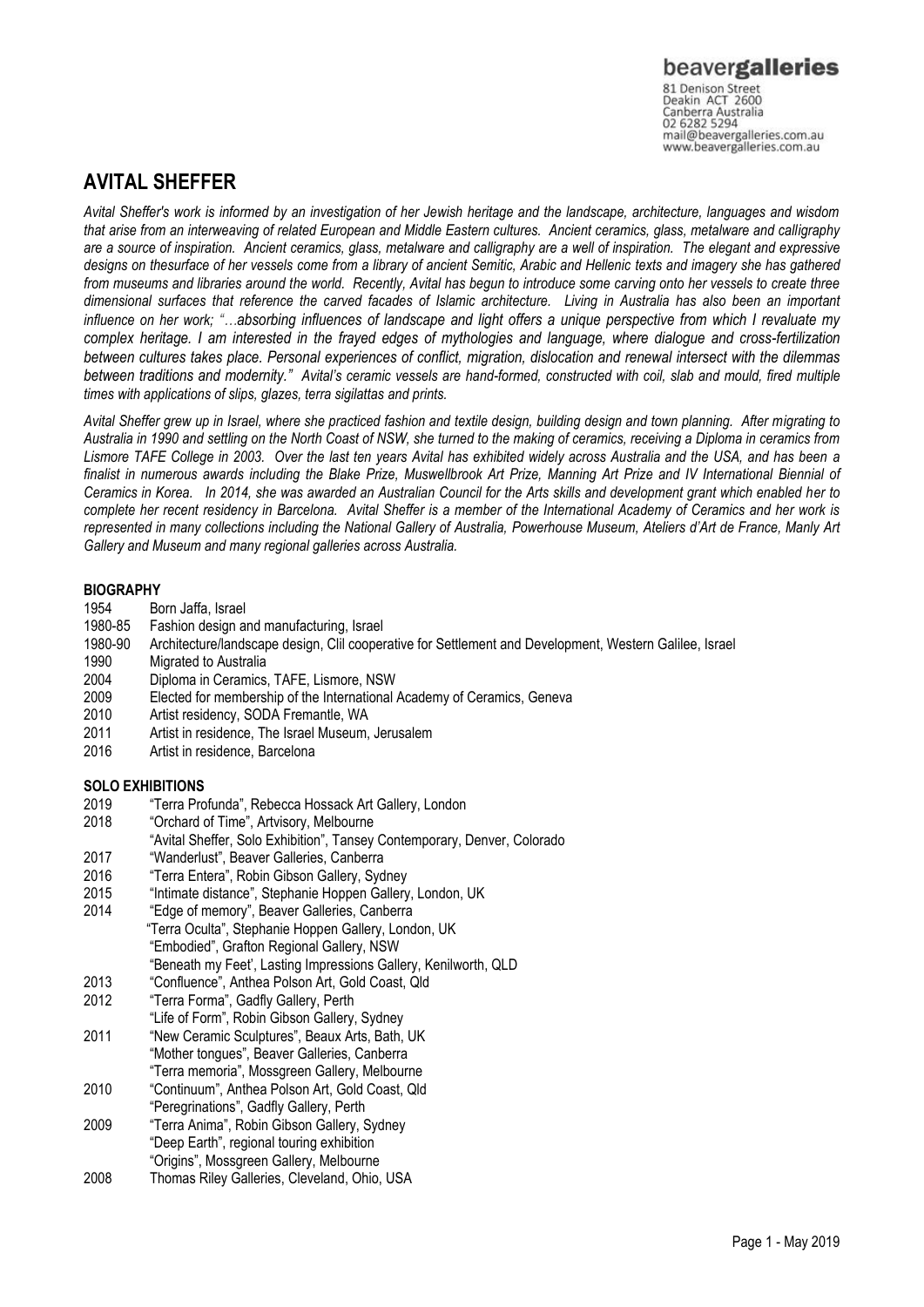Canberra Australia<br>02 6282 5294 mail@beavergalleries.com.au www.beavergalleries.com.au

# **AVITAL SHEFFER**

*Avital Sheffer's work is informed by an investigation of her Jewish heritage and the landscape, architecture, languages and wisdom that arise from an interweaving of related European and Middle Eastern cultures. Ancient ceramics, glass, metalware and calligraphy are a source of inspiration. Ancient ceramics, glass, metalware and calligraphy are a well of inspiration. The elegant and expressive designs on thesurface of her vessels come from a library of ancient Semitic, Arabic and Hellenic texts and imagery she has gathered from museums and libraries around the world. Recently, Avital has begun to introduce some carving onto her vessels to create three dimensional surfaces that reference the carved facades of Islamic architecture. Living in Australia has also been an important influence on her work; "…absorbing influences of landscape and light offers a unique perspective from which I revaluate my complex heritage. I am interested in the frayed edges of mythologies and language, where dialogue and cross-fertilization between cultures takes place. Personal experiences of conflict, migration, dislocation and renewal intersect with the dilemmas between traditions and modernity." Avital's ceramic vessels are hand-formed, constructed with coil, slab and mould, fired multiple times with applications of slips, glazes, terra sigilattas and prints.*

*Avital Sheffer grew up in Israel, where she practiced fashion and textile design, building design and town planning. After migrating to Australia in 1990 and settling on the North Coast of NSW, she turned to the making of ceramics, receiving a Diploma in ceramics from Lismore TAFE College in 2003. Over the last ten years Avital has exhibited widely across Australia and the USA, and has been a finalist in numerous awards including the Blake Prize, Muswellbrook Art Prize, Manning Art Prize and IV International Biennial of Ceramics in Korea. In 2014, she was awarded an Australian Council for the Arts skills and development grant which enabled her to complete her recent residency in Barcelona. Avital Sheffer is a member of the International Academy of Ceramics and her work is represented in many collections including the National Gallery of Australia, Powerhouse Museum, Ateliers d'Art de France, Manly Art Gallery and Museum and many regional galleries across Australia.* 

# **BIOGRAPHY**<br>1954 Bo

- Born Jaffa, Israel
- 1980-85 Fashion design and manufacturing, Israel
- 1980-90 Architecture/landscape design, Clil cooperative for Settlement and Development, Western Galilee, Israel
- 1990 Migrated to Australia
- 2004 Diploma in Ceramics, TAFE, Lismore, NSW
- 2009 Elected for membership of the International Academy of Ceramics, Geneva
- 2010 Artist residency, SODA Fremantle, WA
- 2011 Artist in residence, The Israel Museum, Jerusalem
- 2016 Artist in residence, Barcelona

## **SOLO EXHIBITIONS**

- 2019 "Terra Profunda", Rebecca Hossack Art Gallery, London
- 2018 "Orchard of Time", Artvisory, Melbourne
- "Avital Sheffer, Solo Exhibition", Tansey Contemporary, Denver, Colorado
- 2017 "Wanderlust", Beaver Galleries, Canberra
- 2016 "Terra Entera", Robin Gibson Gallery, Sydney
- 2015 "Intimate distance", Stephanie Hoppen Gallery, London, UK
- 2014 "Edge of memory", Beaver Galleries, Canberra "Terra Oculta", Stephanie Hoppen Gallery, London, UK "Embodied", Grafton Regional Gallery, NSW "Beneath my Feet', Lasting Impressions Gallery, Kenilworth, QLD
- 2013 "Confluence", Anthea Polson Art, Gold Coast, Qld
- 2012 "Terra Forma", Gadfly Gallery, Perth
- "Life of Form", Robin Gibson Gallery, Sydney
- 2011 "New Ceramic Sculptures", Beaux Arts, Bath, UK "Mother tongues", Beaver Galleries, Canberra "Terra memoria", Mossgreen Gallery, Melbourne
- 2010 "Continuum", Anthea Polson Art, Gold Coast, Qld
- "Peregrinations", Gadfly Gallery, Perth 2009 "Terra Anima", Robin Gibson Gallery, Sydney
- "Deep Earth", regional touring exhibition
- "Origins", Mossgreen Gallery, Melbourne
- 2008 Thomas Riley Galleries, Cleveland, Ohio, USA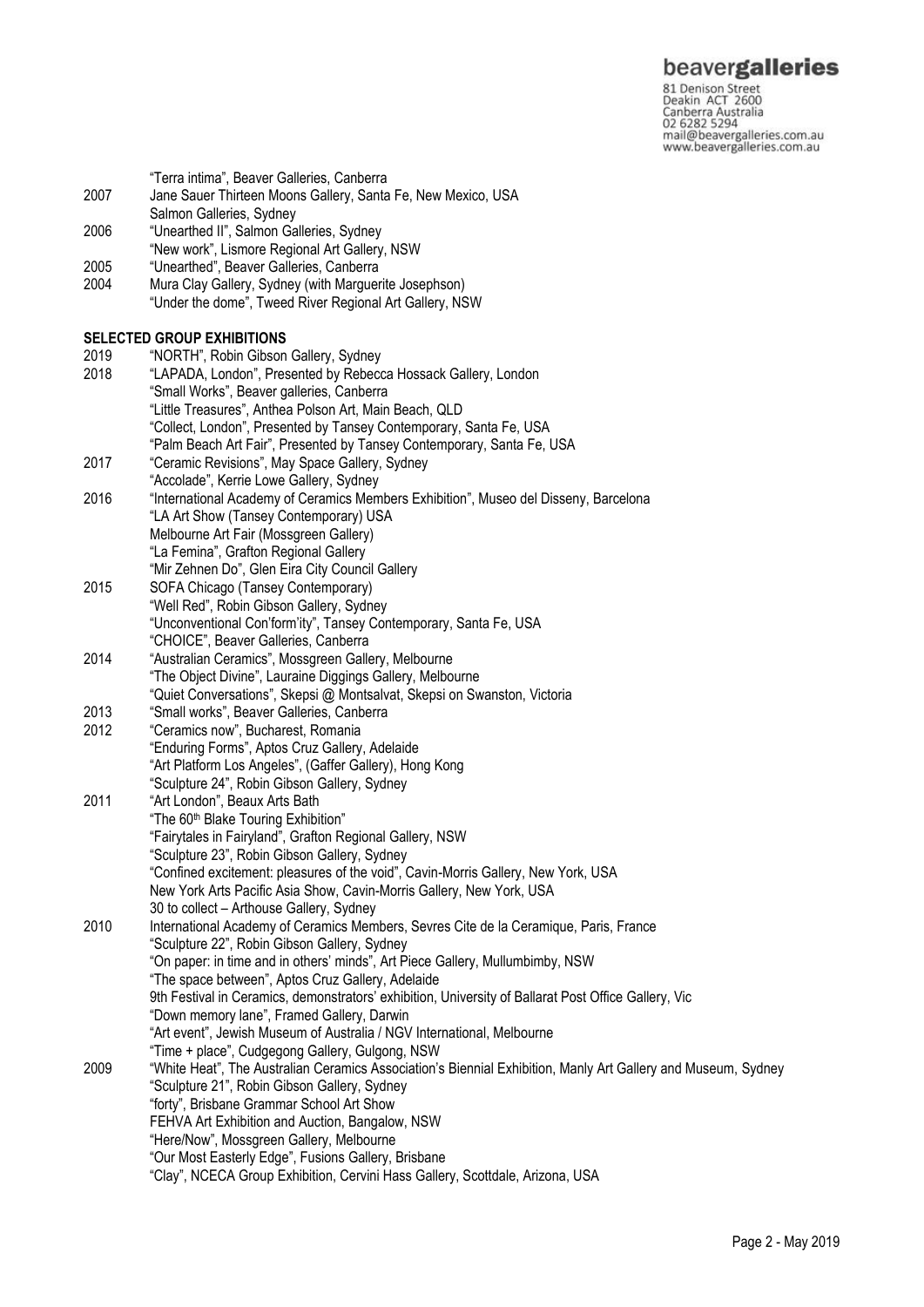81 Denison Street<br>Deakin ACT 2600 Canberra Australia 02 6282 5294 mail@beavergalleries.com.au www.beavergalleries.com.au

"Terra intima", Beaver Galleries, Canberra

- 2007 Jane Sauer Thirteen Moons Gallery, Santa Fe, New Mexico, USA
- Salmon Galleries, Sydney
- 2006 "Unearthed II", Salmon Galleries, Sydney
- "New work", Lismore Regional Art Gallery, NSW
- 2005 "Unearthed", Beaver Galleries, Canberra
- Mura Clay Gallery, Sydney (with Marguerite Josephson) "Under the dome", Tweed River Regional Art Gallery, NSW

# **SELECTED GROUP EXHIBITIONS**

2019 "NORTH", Robin Gibson Gallery, Sydney 2018 "LAPADA, London", Presented by Rebecca Hossack Gallery, London "Small Works", Beaver galleries, Canberra "Little Treasures", Anthea Polson Art, Main Beach, QLD "Collect, London", Presented by Tansey Contemporary, Santa Fe, USA "Palm Beach Art Fair", Presented by Tansey Contemporary, Santa Fe, USA 2017 "Ceramic Revisions", May Space Gallery, Sydney "Accolade", Kerrie Lowe Gallery, Sydney 2016 "International Academy of Ceramics Members Exhibition", Museo del Disseny, Barcelona "LA Art Show (Tansey Contemporary) USA Melbourne Art Fair (Mossgreen Gallery) "La Femina", Grafton Regional Gallery "Mir Zehnen Do", Glen Eira City Council Gallery 2015 SOFA Chicago (Tansey Contemporary) "Well Red", Robin Gibson Gallery, Sydney "Unconventional Con'form'ity", Tansey Contemporary, Santa Fe, USA "CHOICE", Beaver Galleries, Canberra 2014 "Australian Ceramics", Mossgreen Gallery, Melbourne "The Object Divine", Lauraine Diggings Gallery, Melbourne "Quiet Conversations", Skepsi @ Montsalvat, Skepsi on Swanston, Victoria 2013 "Small works", Beaver Galleries, Canberra 2012 "Ceramics now", Bucharest, Romania "Enduring Forms", Aptos Cruz Gallery, Adelaide "Art Platform Los Angeles", (Gaffer Gallery), Hong Kong "Sculpture 24", Robin Gibson Gallery, Sydney 2011 "Art London", Beaux Arts Bath "The 60<sup>th</sup> Blake Touring Exhibition" "Fairytales in Fairyland", Grafton Regional Gallery, NSW "Sculpture 23", Robin Gibson Gallery, Sydney "Confined excitement: pleasures of the void", Cavin-Morris Gallery, New York, USA New York Arts Pacific Asia Show, Cavin-Morris Gallery, New York, USA 30 to collect – Arthouse Gallery, Sydney 2010 International Academy of Ceramics Members, Sevres Cite de la Ceramique, Paris, France "Sculpture 22", Robin Gibson Gallery, Sydney "On paper: in time and in others' minds", Art Piece Gallery, Mullumbimby, NSW "The space between", Aptos Cruz Gallery, Adelaide 9th Festival in Ceramics, demonstrators' exhibition, University of Ballarat Post Office Gallery, Vic "Down memory lane", Framed Gallery, Darwin "Art event", Jewish Museum of Australia / NGV International, Melbourne "Time + place", Cudgegong Gallery, Gulgong, NSW 2009 "White Heat", The Australian Ceramics Association's Biennial Exhibition, Manly Art Gallery and Museum, Sydney "Sculpture 21", Robin Gibson Gallery, Sydney "forty", Brisbane Grammar School Art Show FEHVA Art Exhibition and Auction, Bangalow, NSW "Here/Now", Mossgreen Gallery, Melbourne "Our Most Easterly Edge", Fusions Gallery, Brisbane "Clay", NCECA Group Exhibition, Cervini Hass Gallery, Scottdale, Arizona, USA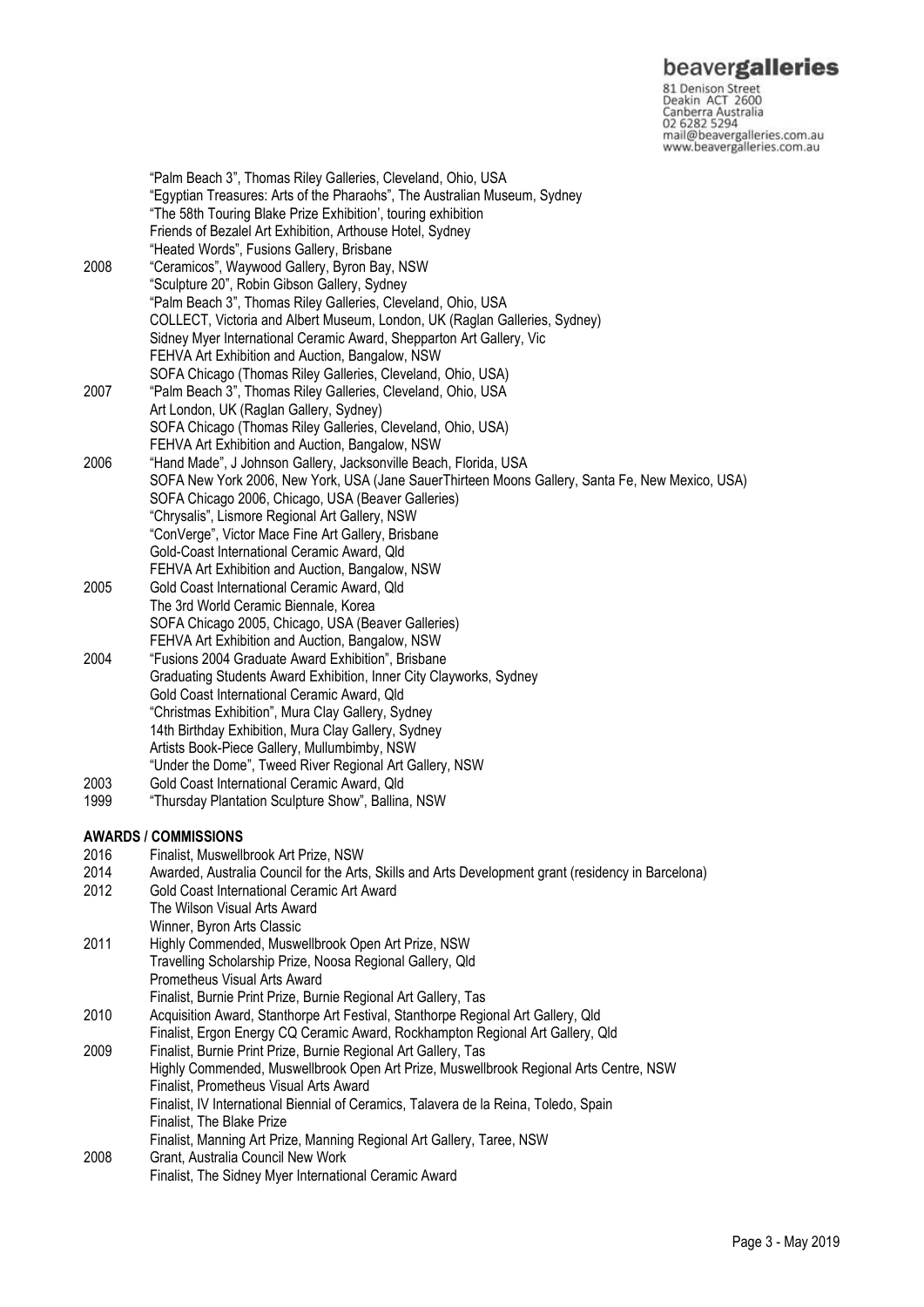81 Denison Street<br>Deakin ACT 2600 Canberra Australia 02 6282 5294 mail@beavergalleries.com.au www.beavergalleries.com.au

"Palm Beach 3", Thomas Riley Galleries, Cleveland, Ohio, USA "Egyptian Treasures: Arts of the Pharaohs", The Australian Museum, Sydney "The 58th Touring Blake Prize Exhibition', touring exhibition Friends of Bezalel Art Exhibition, Arthouse Hotel, Sydney "Heated Words", Fusions Gallery, Brisbane 2008 "Ceramicos", Waywood Gallery, Byron Bay, NSW "Sculpture 20", Robin Gibson Gallery, Sydney "Palm Beach 3", Thomas Riley Galleries, Cleveland, Ohio, USA COLLECT, Victoria and Albert Museum, London, UK (Raglan Galleries, Sydney) Sidney Myer International Ceramic Award, Shepparton Art Gallery, Vic FEHVA Art Exhibition and Auction, Bangalow, NSW SOFA Chicago (Thomas Riley Galleries, Cleveland, Ohio, USA) 2007 "Palm Beach 3", Thomas Riley Galleries, Cleveland, Ohio, USA Art London, UK (Raglan Gallery, Sydney) SOFA Chicago (Thomas Riley Galleries, Cleveland, Ohio, USA) FEHVA Art Exhibition and Auction, Bangalow, NSW 2006 "Hand Made", J Johnson Gallery, Jacksonville Beach, Florida, USA SOFA New York 2006, New York, USA (Jane SauerThirteen Moons Gallery, Santa Fe, New Mexico, USA) SOFA Chicago 2006, Chicago, USA (Beaver Galleries) "Chrysalis", Lismore Regional Art Gallery, NSW "ConVerge", Victor Mace Fine Art Gallery, Brisbane Gold-Coast International Ceramic Award, Qld FEHVA Art Exhibition and Auction, Bangalow, NSW 2005 Gold Coast International Ceramic Award, Qld The 3rd World Ceramic Biennale, Korea SOFA Chicago 2005, Chicago, USA (Beaver Galleries) FEHVA Art Exhibition and Auction, Bangalow, NSW 2004 "Fusions 2004 Graduate Award Exhibition", Brisbane Graduating Students Award Exhibition, Inner City Clayworks, Sydney Gold Coast International Ceramic Award, Qld "Christmas Exhibition", Mura Clay Gallery, Sydney 14th Birthday Exhibition, Mura Clay Gallery, Sydney Artists Book-Piece Gallery, Mullumbimby, NSW "Under the Dome", Tweed River Regional Art Gallery, NSW 2003 Gold Coast International Ceramic Award, Qld 1999 "Thursday Plantation Sculpture Show", Ballina, NSW **AWARDS / COMMISSIONS** 2016 Finalist, Muswellbrook Art Prize, NSW 2014 Awarded, Australia Council for the Arts, Skills and Arts Development grant (residency in Barcelona) Gold Coast International Ceramic Art Award The Wilson Visual Arts Award Winner, Byron Arts Classic 2011 Highly Commended, Muswellbrook Open Art Prize, NSW Travelling Scholarship Prize, Noosa Regional Gallery, Qld Prometheus Visual Arts Award Finalist, Burnie Print Prize, Burnie Regional Art Gallery, Tas 2010 Acquisition Award, Stanthorpe Art Festival, Stanthorpe Regional Art Gallery, Qld Finalist, Ergon Energy CQ Ceramic Award, Rockhampton Regional Art Gallery, Qld 2009 Finalist, Burnie Print Prize, Burnie Regional Art Gallery, Tas Highly Commended, Muswellbrook Open Art Prize, Muswellbrook Regional Arts Centre, NSW Finalist, Prometheus Visual Arts Award Finalist, IV International Biennial of Ceramics, Talavera de la Reina, Toledo, Spain Finalist, The Blake Prize Finalist, Manning Art Prize, Manning Regional Art Gallery, Taree, NSW 2008 Grant, Australia Council New Work Finalist, The Sidney Myer International Ceramic Award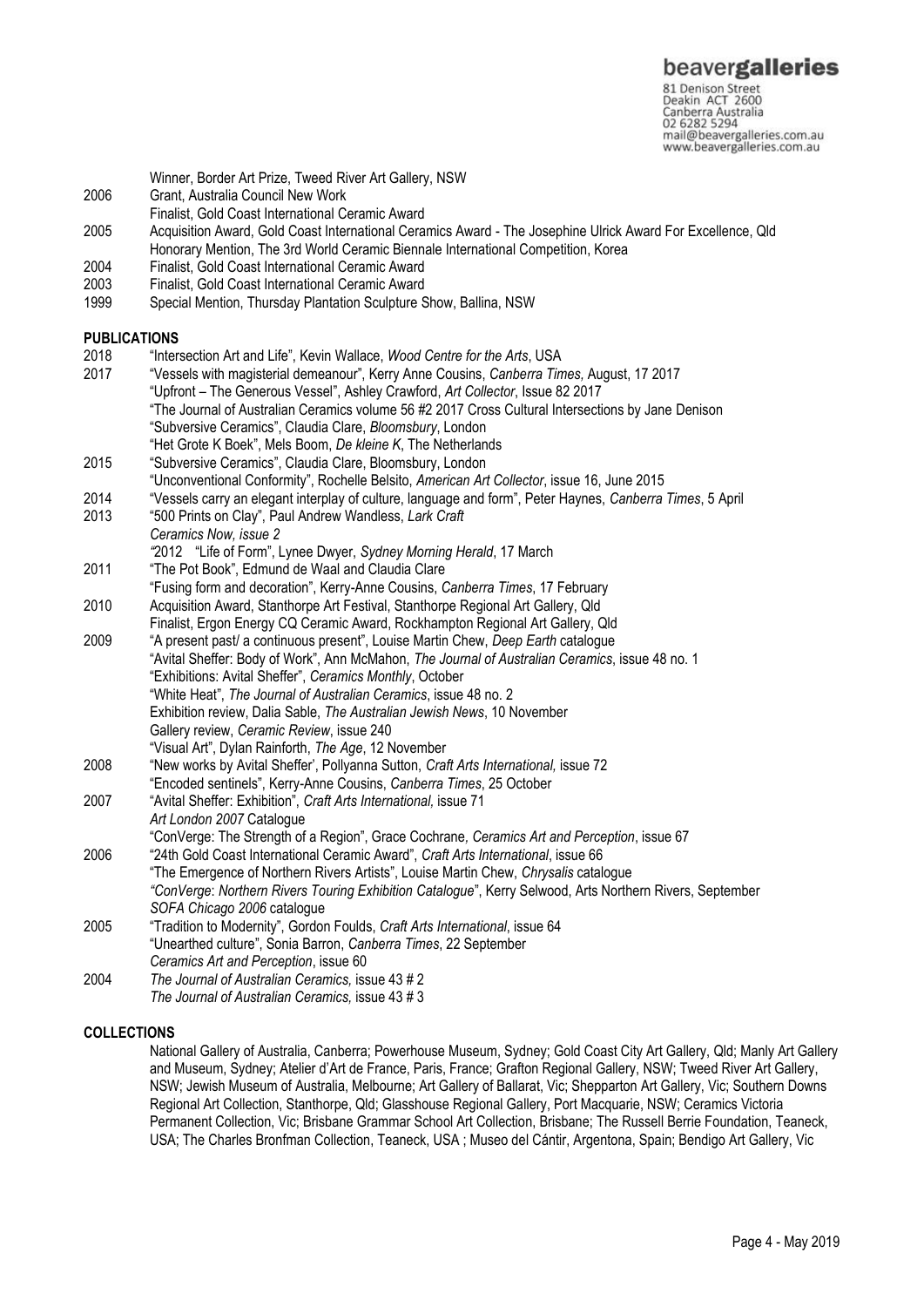81 Denison Street<br>Deakin ACT 2600 Canberra Australia 02 6282 5294 mail@beavergalleries.com.au www.beavergalleries.com.au

- Winner, Border Art Prize, Tweed River Art Gallery, NSW
- 2006 Grant, Australia Council New Work
- Finalist, Gold Coast International Ceramic Award
- 2005 Acquisition Award, Gold Coast International Ceramics Award The Josephine Ulrick Award For Excellence, Qld Honorary Mention, The 3rd World Ceramic Biennale International Competition, Korea
- 2004 Finalist, Gold Coast International Ceramic Award
- 2003 Finalist, Gold Coast International Ceramic Award
- Special Mention, Thursday Plantation Sculpture Show, Ballina, NSW

#### **PUBLICATIONS**

- 2018 "Intersection Art and Life", Kevin Wallace, *Wood Centre for the Arts*, USA
- 2017 "Vessels with magisterial demeanour", Kerry Anne Cousins, *Canberra Times,* August, 17 2017 "Upfront – The Generous Vessel", Ashley Crawford, *Art Collector*, Issue 82 2017 "The Journal of Australian Ceramics volume 56 #2 2017 Cross Cultural Intersections by Jane Denison "Subversive Ceramics", Claudia Clare, *Bloomsbury*, London "Het Grote K Boek", Mels Boom, *De kleine K*, The Netherlands
- 2015 "Subversive Ceramics", Claudia Clare, Bloomsbury, London
- "Unconventional Conformity", Rochelle Belsito, *American Art Collector*, issue 16, June 2015
- 2014 "Vessels carry an elegant interplay of culture, language and form", Peter Haynes, *Canberra Times*, 5 April
- 2013 "500 Prints on Clay", Paul Andrew Wandless, *Lark Craft Ceramics Now, issue 2*
- *"*2012 "Life of Form", Lynee Dwyer, *Sydney Morning Herald*, 17 March 2011 "The Pot Book", Edmund de Waal and Claudia Clare
- "Fusing form and decoration", Kerry-Anne Cousins, *Canberra Times*, 17 February
- 2010 Acquisition Award, Stanthorpe Art Festival, Stanthorpe Regional Art Gallery, Qld Finalist, Ergon Energy CQ Ceramic Award, Rockhampton Regional Art Gallery, Qld
- 2009 "A present past/ a continuous present", Louise Martin Chew, *Deep Earth* catalogue "Avital Sheffer: Body of Work", Ann McMahon, *The Journal of Australian Ceramics*, issue 48 no. 1 "Exhibitions: Avital Sheffer", *Ceramics Monthly*, October "White Heat", *The Journal of Australian Ceramics*, issue 48 no. 2 Exhibition review, Dalia Sable, *The Australian Jewish News*, 10 November Gallery review, *Ceramic Review*, issue 240 "Visual Art", Dylan Rainforth, *The Age*, 12 November
- 2008 "New works by Avital Sheffer', Pollyanna Sutton, *Craft Arts International,* issue 72
- "Encoded sentinels", Kerry-Anne Cousins, *Canberra Times*, 25 October
- 2007 "Avital Sheffer: Exhibition", *Craft Arts International,* issue 71 *Art London 2007* Catalogue
	- "ConVerge: The Strength of a Region", Grace Cochrane*, Ceramics Art and Perception*, issue 67
- 2006 "24th Gold Coast International Ceramic Award", *Craft Arts International*, issue 66 "The Emergence of Northern Rivers Artists", Louise Martin Chew, *Chrysalis* catalogue *"ConVerge*: *Northern Rivers Touring Exhibition Catalogue*", Kerry Selwood, Arts Northern Rivers, September *SOFA Chicago 2006* catalogue 2005 "Tradition to Modernity", Gordon Foulds, *Craft Arts International*, issue 64
- "Unearthed culture", Sonia Barron, *Canberra Times*, 22 September *Ceramics Art and Perception*, issue 60
- 2004 *The Journal of Australian Ceramics,* issue 43 # 2 *The Journal of Australian Ceramics,* issue 43 # 3

### **COLLECTIONS**

National Gallery of Australia, Canberra; Powerhouse Museum, Sydney; Gold Coast City Art Gallery, Qld; Manly Art Gallery and Museum, Sydney; Atelier d'Art de France, Paris, France; Grafton Regional Gallery, NSW; Tweed River Art Gallery, NSW; Jewish Museum of Australia, Melbourne; Art Gallery of Ballarat, Vic; Shepparton Art Gallery, Vic; Southern Downs Regional Art Collection, Stanthorpe, Qld; Glasshouse Regional Gallery, Port Macquarie, NSW; Ceramics Victoria Permanent Collection, Vic; Brisbane Grammar School Art Collection, Brisbane; The Russell Berrie Foundation, Teaneck, USA; The Charles Bronfman Collection, Teaneck, USA ; Museo del Cántir, Argentona, Spain; Bendigo Art Gallery, Vic